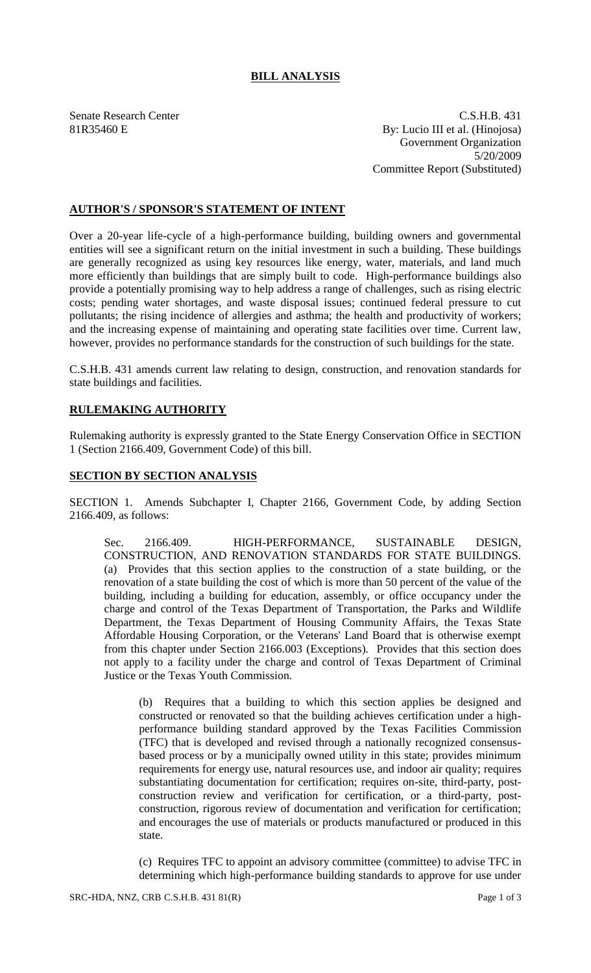## **BILL ANALYSIS**

Senate Research Center C.S.H.B. 431 81R35460 E By: Lucio III et al. (Hinojosa) Government Organization 5/20/2009 Committee Report (Substituted)

## **AUTHOR'S / SPONSOR'S STATEMENT OF INTENT**

Over a 20-year life-cycle of a high-performance building, building owners and governmental entities will see a significant return on the initial investment in such a building. These buildings are generally recognized as using key resources like energy, water, materials, and land much more efficiently than buildings that are simply built to code. High-performance buildings also provide a potentially promising way to help address a range of challenges, such as rising electric costs; pending water shortages, and waste disposal issues; continued federal pressure to cut pollutants; the rising incidence of allergies and asthma; the health and productivity of workers; and the increasing expense of maintaining and operating state facilities over time. Current law, however, provides no performance standards for the construction of such buildings for the state.

C.S.H.B. 431 amends current law relating to design, construction, and renovation standards for state buildings and facilities.

## **RULEMAKING AUTHORITY**

Rulemaking authority is expressly granted to the State Energy Conservation Office in SECTION 1 (Section 2166.409, Government Code) of this bill.

## **SECTION BY SECTION ANALYSIS**

SECTION 1. Amends Subchapter I, Chapter 2166, Government Code, by adding Section 2166.409, as follows:

Sec. 2166.409. HIGH-PERFORMANCE, SUSTAINABLE DESIGN, CONSTRUCTION, AND RENOVATION STANDARDS FOR STATE BUILDINGS. (a) Provides that this section applies to the construction of a state building, or the renovation of a state building the cost of which is more than 50 percent of the value of the building, including a building for education, assembly, or office occupancy under the charge and control of the Texas Department of Transportation, the Parks and Wildlife Department, the Texas Department of Housing Community Affairs, the Texas State Affordable Housing Corporation, or the Veterans' Land Board that is otherwise exempt from this chapter under Section 2166.003 (Exceptions). Provides that this section does not apply to a facility under the charge and control of Texas Department of Criminal Justice or the Texas Youth Commission.

(b) Requires that a building to which this section applies be designed and constructed or renovated so that the building achieves certification under a highperformance building standard approved by the Texas Facilities Commission (TFC) that is developed and revised through a nationally recognized consensusbased process or by a municipally owned utility in this state; provides minimum requirements for energy use, natural resources use, and indoor air quality; requires substantiating documentation for certification; requires on-site, third-party, postconstruction review and verification for certification, or a third-party, postconstruction, rigorous review of documentation and verification for certification; and encourages the use of materials or products manufactured or produced in this state.

(c) Requires TFC to appoint an advisory committee (committee) to advise TFC in determining which high-performance building standards to approve for use under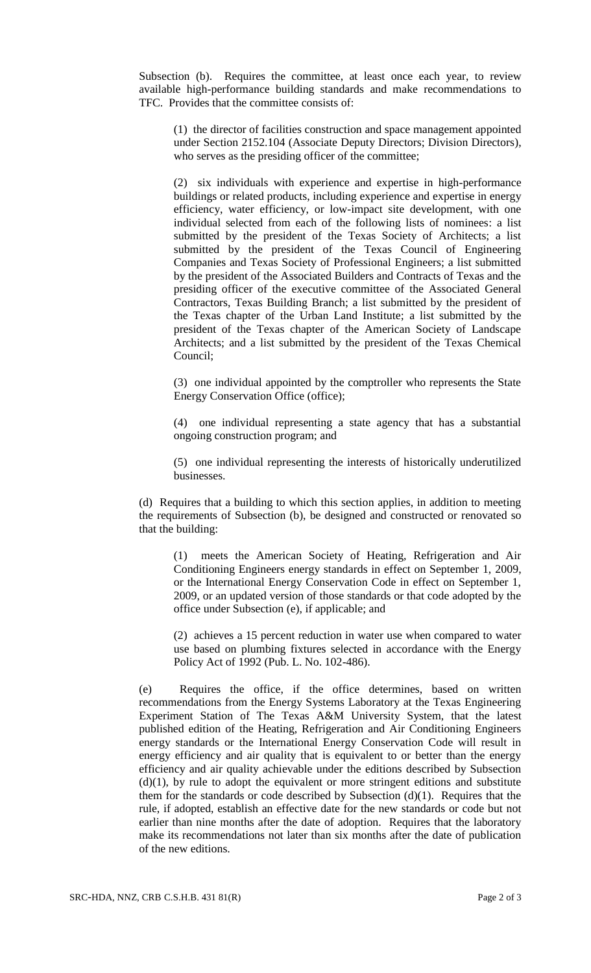Subsection (b). Requires the committee, at least once each year, to review available high-performance building standards and make recommendations to TFC. Provides that the committee consists of:

(1) the director of facilities construction and space management appointed under Section 2152.104 (Associate Deputy Directors; Division Directors), who serves as the presiding officer of the committee;

(2) six individuals with experience and expertise in high-performance buildings or related products, including experience and expertise in energy efficiency, water efficiency, or low-impact site development, with one individual selected from each of the following lists of nominees: a list submitted by the president of the Texas Society of Architects; a list submitted by the president of the Texas Council of Engineering Companies and Texas Society of Professional Engineers; a list submitted by the president of the Associated Builders and Contracts of Texas and the presiding officer of the executive committee of the Associated General Contractors, Texas Building Branch; a list submitted by the president of the Texas chapter of the Urban Land Institute; a list submitted by the president of the Texas chapter of the American Society of Landscape Architects; and a list submitted by the president of the Texas Chemical Council;

(3) one individual appointed by the comptroller who represents the State Energy Conservation Office (office);

(4) one individual representing a state agency that has a substantial ongoing construction program; and

(5) one individual representing the interests of historically underutilized businesses.

(d) Requires that a building to which this section applies, in addition to meeting the requirements of Subsection (b), be designed and constructed or renovated so that the building:

(1) meets the American Society of Heating, Refrigeration and Air Conditioning Engineers energy standards in effect on September 1, 2009, or the International Energy Conservation Code in effect on September 1, 2009, or an updated version of those standards or that code adopted by the office under Subsection (e), if applicable; and

(2) achieves a 15 percent reduction in water use when compared to water use based on plumbing fixtures selected in accordance with the Energy Policy Act of 1992 (Pub. L. No. 102-486).

(e) Requires the office, if the office determines, based on written recommendations from the Energy Systems Laboratory at the Texas Engineering Experiment Station of The Texas A&M University System, that the latest published edition of the Heating, Refrigeration and Air Conditioning Engineers energy standards or the International Energy Conservation Code will result in energy efficiency and air quality that is equivalent to or better than the energy efficiency and air quality achievable under the editions described by Subsection  $(d)(1)$ , by rule to adopt the equivalent or more stringent editions and substitute them for the standards or code described by Subsection (d)(1). Requires that the rule, if adopted, establish an effective date for the new standards or code but not earlier than nine months after the date of adoption. Requires that the laboratory make its recommendations not later than six months after the date of publication of the new editions.